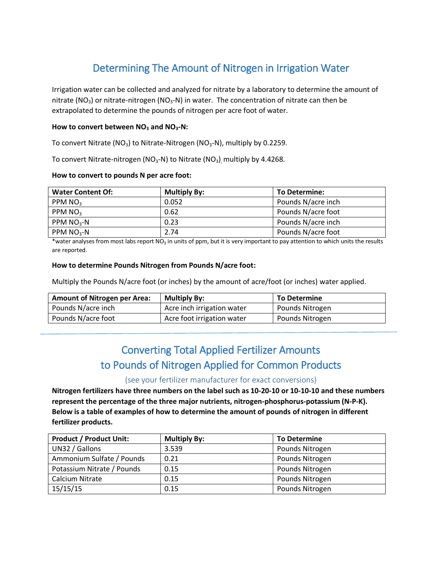# Determining The Amount of Nitrogen in Irrigation Water

Irrigation water can be collected and analyzed for nitrate by a laboratory to determine the amount of nitrate (NO<sub>3</sub>) or nitrate-nitrogen (NO<sub>3</sub>-N) in water. The concentration of nitrate can then be extrapolated to determine the pounds of nitrogen per acre foot of water.

### **How to convert between NO<sup>3</sup> and NO3-N:**

To convert Nitrate (NO<sub>3</sub>) to Nitrate-Nitrogen (NO<sub>3</sub>-N), multiply by 0.2259.

To convert Nitrate-nitrogen ( $NO<sub>3</sub>-N$ ) to Nitrate ( $NO<sub>3</sub>$ ) multiply by 4.4268.

#### **How to convert to pounds N per acre foot:**

| <b>Water Content Of:</b> | <b>Multiply By:</b> | <b>To Determine:</b> |
|--------------------------|---------------------|----------------------|
| PPM $NO3$                | 0.052               | Pounds N/acre inch   |
| PPM NO <sub>3</sub>      | 0.62                | Pounds N/acre foot   |
| PPM $NO3$ -N             | 0.23                | Pounds N/acre inch   |
| PPM $NO3-N$              | 2.74                | Pounds N/acre foot   |

\*water analyses from most labs report NO<sub>3</sub> in units of ppm, but it is very important to pay attention to which units the results are reported.

#### **How to determine Pounds Nitrogen from Pounds N/acre foot:**

Multiply the Pounds N/acre foot (or inches) by the amount of acre/foot (or inches) water applied.

| <b>Amount of Nitrogen per Area:</b> | <b>Multiply By:</b>        | To Determine    |
|-------------------------------------|----------------------------|-----------------|
| Pounds N/acre inch                  | Acre inch irrigation water | Pounds Nitrogen |
| Pounds N/acre foot                  | Acre foot irrigation water | Pounds Nitrogen |

## Converting Total Applied Fertilizer Amounts to Pounds of Nitrogen Applied for Common Products

### (see your fertilizer manufacturer for exact conversions)

**Nitrogen fertilizers have three numbers on the label such as 10-20-10 or 10-10-10 and these numbers represent the percentage of the three major nutrients, nitrogen-phosphorus-potassium (N-P-K). Below is a table of examples of how to determine the amount of pounds of nitrogen in different fertilizer products.**

| <b>Product / Product Unit:</b> | <b>Multiply By:</b> | <b>To Determine</b> |
|--------------------------------|---------------------|---------------------|
| UN32 / Gallons                 | 3.539               | Pounds Nitrogen     |
| Ammonium Sulfate / Pounds      | 0.21                | Pounds Nitrogen     |
| Potassium Nitrate / Pounds     | 0.15                | Pounds Nitrogen     |
| Calcium Nitrate                | 0.15                | Pounds Nitrogen     |
| 15/15/15                       | 0.15                | Pounds Nitrogen     |